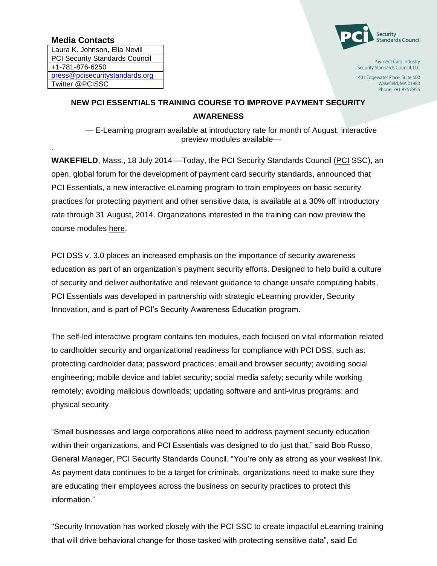## **Media Contacts**

.

Laura K. Johnson, Ella Nevill PCI Security Standards Council +1-781-876-6250 [press@pcisecuritystandards.org](mailto:press@pcisecuritystandards.org) Twitter @PCISSC



Payment Card Industry Security Standards Council, LLC

401 Edgewater Place, Suite 600 Wakefield, MA 01880 Phone: 781 876 8855

## **NEW PCI ESSENTIALS TRAINING COURSE TO IMPROVE PAYMENT SECURITY AWARENESS**

— E-Learning program available at introductory rate for month of August; interactive preview modules available—

**WAKEFIELD, Mass., 18 July 2014 — Today, the PCI Security Standards Council [\(PCI](https://www.pcisecuritystandards.org/) SSC), an** open, global forum for the development of payment card security standards, announced that PCI Essentials, a new interactive eLearning program to train employees on basic security practices for protecting payment and other sensitive data, is available at a 30% off introductory rate through 31 August, 2014. Organizations interested in the training can now preview the course modules [here.](https://www.securityinnovation.com/products/pci-training/pci-essentials-course-modules.html)

PCI DSS v. 3.0 places an increased emphasis on the importance of security awareness education as part of an organization's payment security efforts. Designed to help build a culture of security and deliver authoritative and relevant guidance to change unsafe computing habits, PCI Essentials was developed in partnership with strategic eLearning provider, Security Innovation, and is part of PCI's Security Awareness Education program.

The self-led interactive program contains ten modules, each focused on vital information related to cardholder security and organizational readiness for compliance with PCI DSS, such as: protecting cardholder data; password practices; email and browser security; avoiding social engineering; mobile device and tablet security; social media safety; security while working remotely; avoiding malicious downloads; updating software and anti-virus programs; and physical security.

"Small businesses and large corporations alike need to address payment security education within their organizations, and PCI Essentials was designed to do just that," said Bob Russo, General Manager, PCI Security Standards Council. "You're only as strong as your weakest link. As payment data continues to be a target for criminals, organizations need to make sure they are educating their employees across the business on security practices to protect this information."

"Security Innovation has worked closely with the PCI SSC to create impactful eLearning training that will drive behavioral change for those tasked with protecting sensitive data", said Ed